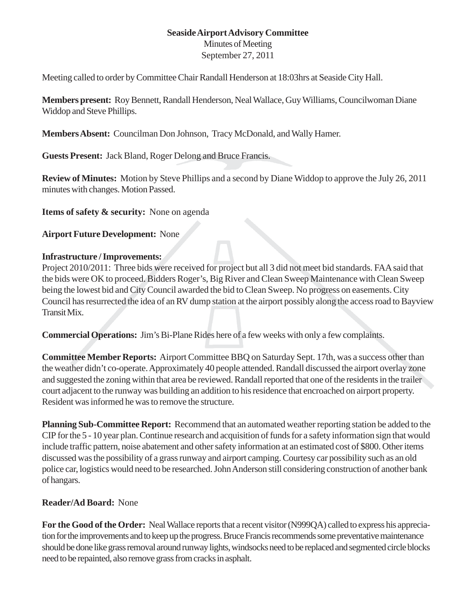## **Seaside Airport Advisory Committee** Minutes of Meeting September 27, 2011

Meeting called to order by Committee Chair Randall Henderson at 18:03hrs at Seaside City Hall.

**Members present:** Roy Bennett, Randall Henderson, Neal Wallace, Guy Williams, Councilwoman Diane Widdop and Steve Phillips.

**Members Absent:** Councilman Don Johnson, Tracy McDonald, and Wally Hamer.

**Guests Present:** Jack Bland, Roger Delong and Bruce Francis.

**Review of Minutes:** Motion by Steve Phillips and a second by Diane Widdop to approve the July 26, 2011 minutes with changes. Motion Passed.

**Items of safety & security:** None on agenda

## **Airport Future Development:** None

## **Infrastructure / Improvements:**

Project 2010/2011: Three bids were received for project but all 3 did not meet bid standards. FAA said that the bids were OK to proceed. Bidders Roger's, Big River and Clean Sweep Maintenance with Clean Sweep being the lowest bid and City Council awarded the bid to Clean Sweep. No progress on easements. City Council has resurrected the idea of an RV dump station at the airport possibly along the access road to Bayview Transit Mix.

**Commercial Operations:** Jim's Bi-Plane Rides here of a few weeks with only a few complaints.

**Committee Member Reports:** Airport Committee BBQ on Saturday Sept. 17th, was a success other than the weather didn't co-operate. Approximately 40 people attended. Randall discussed the airport overlay zone and suggested the zoning within that area be reviewed. Randall reported that one of the residents in the trailer court adjacent to the runway was building an addition to his residence that encroached on airport property. Resident was informed he was to remove the structure.

**Planning Sub-Committee Report:** Recommend that an automated weather reporting station be added to the CIP for the 5 - 10 year plan. Continue research and acquisition of funds for a safety information sign that would include traffic pattern, noise abatement and other safety information at an estimated cost of \$800. Other items discussed was the possibility of a grass runway and airport camping. Courtesy car possibility such as an old police car, logistics would need to be researched. John Anderson still considering construction of another bank of hangars.

## **Reader/Ad Board:** None

**For the Good of the Order:** Neal Wallace reports that a recent visitor (N999QA) called to express his appreciation for the improvements and to keep up the progress. Bruce Francis recommends some preventative maintenance should be done like grass removal around runway lights, windsocks need to be replaced and segmented circle blocks need to be repainted, also remove grass from cracks in asphalt.